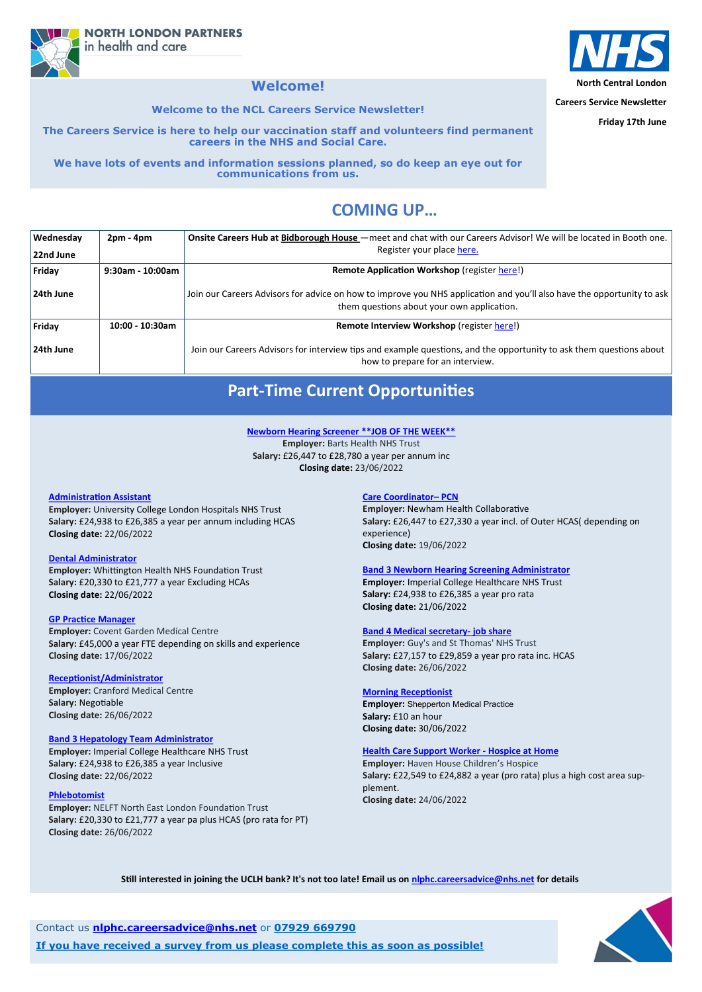**Careers Service Newsletter**

**Friday 17th June**

# **COMING UP…**

**NORTH LONDON PARTNERS** in health and care

# **Welcome!**

**Welcome to the NCL Careers Service Newsletter!**

**The Careers Service is here to help our vaccination staff and volunteers find permanent careers in the NHS and Social Care.** 

**We have lots of events and information sessions planned, so do keep an eye out for communications from us.**

| <b>Wednesday</b> | $2pm - 4pm$         | Onsite Careers Hub at Bidborough House – meet and chat with our Careers Advisor! We will be located in Booth one.                                                    |
|------------------|---------------------|----------------------------------------------------------------------------------------------------------------------------------------------------------------------|
| 22nd June        |                     | Register your place here.                                                                                                                                            |
| Friday           | $9:30$ am - 10:00am | <b>Remote Application Workshop (register here!)</b>                                                                                                                  |
| 24th June        |                     | Join our Careers Advisors for advice on how to improve you NHS application and you'll also have the opportunity to ask<br>them questions about your own application. |
| Friday           | $10:00 - 10:30$ am  | Remote Interview Workshop (register here!)                                                                                                                           |
| 24th June        |                     | Join our Careers Advisors for interview tips and example questions, and the opportunity to ask them questions about<br>how to prepare for an interview.              |

Contact us **[nlphc.careersadvice@nhs.net](mailto:nlphc.careersadvice@nhs.net)** or **07929 669790**

**If you have received a survey from us please complete this as soon as possible!**



# **Part-Time Current Opportunities**

#### **[Care Coordinator–](https://beta.jobs.nhs.uk/candidate/jobadvert/E0006-22-3959) PCN**

**Employer:** Newham Health Collaborative **Salary:** £26,447 to £27,330 a year incl. of Outer HCAS( depending on experience) **Closing date:** 19/06/2022

#### **[Band 3 Newborn Hearing Screening Administrator](https://beta.jobs.nhs.uk/candidate/jobadvert/C9290-22-2990)**

**Employer:** Imperial College Healthcare NHS Trust **Salary:** £24,938 to £26,385 a year pro rata **Closing date:** 21/06/2022

#### **[Band 4 Medical secretary](https://beta.jobs.nhs.uk/candidate/jobadvert/C9196-22-3870)- job share**

**Employer:** Guy's and St Thomas' NHS Trust **Salary:** £27,157 to £29,859 a year pro rata inc. HCAS **Closing date:** 26/06/2022

#### **[Morning Receptionist](https://beta.jobs.nhs.uk/candidate/jobadvert/A0193-22-1772)**

**Employer:** Shepperton Medical Practice **Salary:** £10 an hour **Closing date:** 30/06/2022



#### **[Health Care Support Worker](https://beta.jobs.nhs.uk/candidate/jobadvert/B0186-22-7184) - Hospice at Home**

**Employer:** Haven House Children's Hospice **Salary:** £22,549 to £24,882 a year (pro rata) plus a high cost area supplement. **Closing date:** 24/06/2022

**Still interested in joining the UCLH bank? It's not too late! Email us on [nlphc.careersadvice@nhs.net](mailto:nlphc.careersadvice@nhs.net) for details**

#### **[Administration Assistant](https://beta.jobs.nhs.uk/candidate/jobadvert/C9309-22-5755)**

**Employer:** University College London Hospitals NHS Trust **Salary:** £24,938 to £26,385 a year per annum including HCAS **Closing date:** 22/06/2022

#### **[Dental Administrator](https://beta.jobs.nhs.uk/candidate/jobadvert/C9220-22-1125)**

**Employer:** Whittington Health NHS Foundation Trust **Salary:** £20,330 to £21,777 a year Excluding HCAs **Closing date:** 22/06/2022

#### **[GP Practice Manager](https://beta.jobs.nhs.uk/candidate/jobadvert/A2926-22-0749)**

**Employer:** Covent Garden Medical Centre **Salary:** £45,000 a year FTE depending on skills and experience **Closing date:** 17/06/2022

#### **[Receptionist/Administrator](https://beta.jobs.nhs.uk/candidate/jobadvert/A4051-22-4386)**

**Employer:** Cranford Medical Centre **Salary:** Negotiable **[Cl](https://beta.jobs.nhs.uk/candidate/jobadvert/C9290-22-0309)osing date:** 26/06/2022

### **[Band 3 Hepatology Team Administrator](https://beta.jobs.nhs.uk/candidate/jobadvert/C9290-22-0309)**

**Employer:** Imperial College Healthcare NHS Trust **Salary:** £24,938 to £26,385 a year Inclusive **Closing date:** 22/06/2022

#### **[Phlebotomist](https://beta.jobs.nhs.uk/candidate/jobadvert/C9395-22-2527)**

**Employer:** NELFT North East London Foundation Trust **Salary:** £20,330 to £21,777 a year pa plus HCAS (pro rata for PT) **Closing date:** 26/06/2022

#### **[Newborn Hearing Screener \\*\\*JOB OF THE WEEK\\*\\*](https://beta.jobs.nhs.uk/candidate/jobadvert/C9259-22-6504)**

**Employer:** Barts Health NHS Trust **Salary:** £26,447 to £28,780 a year per annum inc **Closing date:** 23/06/2022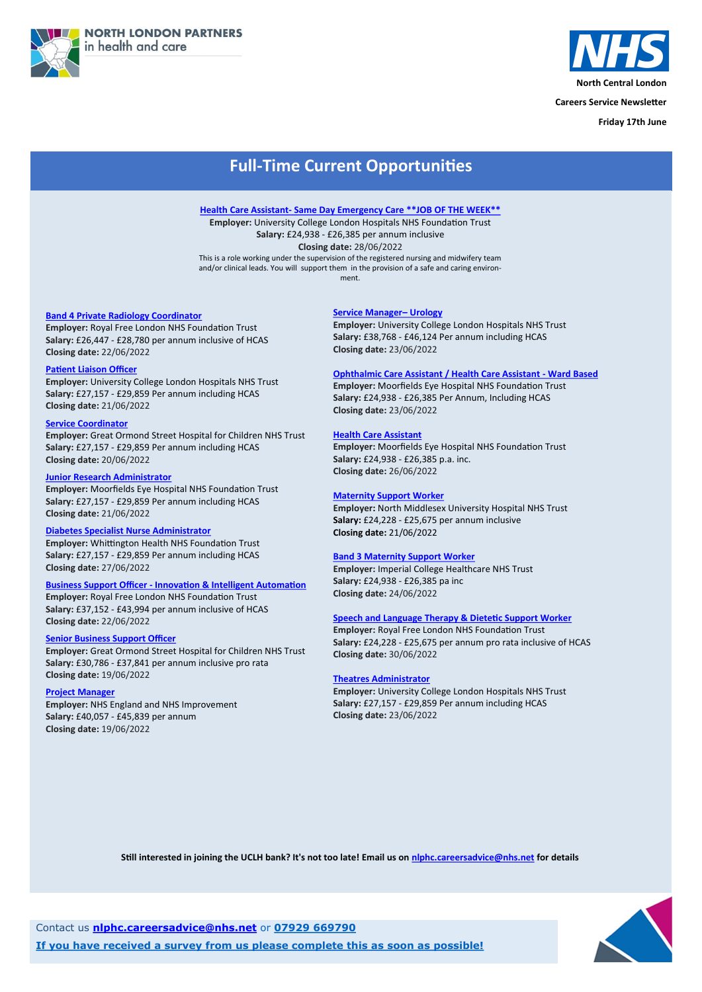



**Careers Service Newsletter**

**Friday 17th June**

Contact us **[nlphc.careersadvice@nhs.net](mailto:nlphc.careersadvice@nhs.net)** or **07929 669790**

**If you have received a survey from us please complete this as soon as possible!**



# **Full-Time Current Opportunities**

#### **[Band 4 Private Radiology Coordinator](https://www.healthjobsuk.com/job/UK/London/Barnet/Royal_Free_London_NHS_Foundation_Trust/Private_Patients_Division/Private_Patients_Division-v4248618?_ts=38332)**

**Employer:** Royal Free London NHS Foundation Trust **Salary:** £26,447 - £28,780 per annum inclusive of HCAS **Closing date:** 22/06/2022

#### **[Patient Liaison Officer](https://www.healthjobsuk.com/job/UK/London/London/University_College_London_Hospitals_NHS_Foundation_Trust/Nuclear_Medicine/Nuclear_Medicine-v4243649?_ts=41287)**

**Employer:** University College London Hospitals NHS Trust **Salary:** £27,157 - £29,859 Per annum including HCAS **Closing date:** 21/06/2022

#### **[Service Coordinator](https://www.healthjobsuk.com/job/UK/London/London/Great_Ormond_Street_Hospital_Children_NHS_Foundation_Trust/Neurology/Neurology-v4267906?_ts=45401)**

**Employer:** Great Ormond Street Hospital for Children NHS Trust **Salary:** £27,157 - £29,859 Per annum including HCAS **Closing date:** 20/06/2022

#### **[Junior Research Administrator](https://www.healthjobsuk.com/job/UK/London/London/Moorfields_Eye_Hospital_NHS_Foundation_Trust/Research_Administration/Research_Administration-v4271077?_ts=10973)**

**Employer:** Moorfields Eye Hospital NHS Foundation Trust **Salary:** £27,157 - £29,859 Per annum including HCAS **Closing date:** 21/06/2022

#### **[Diabetes Specialist Nurse Administrator](https://www.healthjobsuk.com/job/UK/London/London/Whittington_Health_NHS_Trust/Diabetes/Diabetes-v4228364?_ts=25849)**

**Employer:** Whittington Health NHS Foundation Trust **Salary:** £27,157 - £29,859 Per annum including HCAS **Closing date:** 27/06/2022

#### **Business Support Officer - [Innovation & Intelligent Automation](https://www.healthjobsuk.com/job/UK/London/Enfield/Royal_Free_London_NHS_Foundation_Trust/Business_Support_Officer_Innovation_Intelligent_Automation/Business_Support_Officer_Innovation_Intelligent_Automation-v4274944?_ts=76256)**

**Employer:** Royal Free London NHS Foundation Trust **Salary:** £37,152 - £43,994 per annum inclusive of HCAS **Closing date:** 22/06/2022

#### **[Senior Business Support Officer](https://www.healthjobsuk.com/job/UK/London/London/Great_Ormond_Street_Hospital_Children_NHS_Foundation_Trust/Administration_Digital_learning/Administration_Digital_learning-v4216871?_ts=36290)**

**Employer:** Great Ormond Street Hospital for Children NHS Trust **Salary:** £30,786 - £37,841 per annum inclusive pro rata **Closing date:** 19/06/2022

#### **[Project Manager](https://www.healthjobsuk.com/job/UK/West_Yorkshire/London/NHS_England_NHS_Improvement/Administration/Administration-v4235046?_ts=92190)**

**Employer:** NHS England and NHS Improvement **Salary:** £40,057 - £45,839 per annum **Closing date:** 19/06/2022

#### **[Service Manager–](https://www.healthjobsuk.com/job/UK/London/London/University_College_London_Hospitals_NHS_Foundation_Trust/Urology/Urology-v4281356?_ts=48772) Urology**

**Employer:** University College London Hospitals NHS Trust **Salary:** £38,768 - £46,124 Per annum including HCAS **Closing date:** 23/06/2022

#### **[Ophthalmic Care Assistant / Health Care Assistant](https://www.healthjobsuk.com/job/UK/London/London/Moorfields_Eye_Hospital_NHS_Foundation_Trust/Opthamology/Opthamology-v4280784?_ts=104803) - Ward Based**

**Employer:** Moorfields Eye Hospital NHS Foundation Trust **Salary:** £24,938 - £26,385 Per Annum, Including HCAS **Closing date:** 23/06/2022

#### **[Health Care Assistant](https://www.healthjobsuk.com/job/UK/London/London/Moorfields_Eye_Hospital_NHS_Foundation_Trust/Opthalmology/Opthalmology-v4154771?_ts=69799)**

**Employer:** Moorfields Eye Hospital NHS Foundation Trust **Salary:** £24,938 - £26,385 p.a. inc. **Closing date:** 26/06/2022

#### **[Maternity Support Worker](https://www.healthjobsuk.com/job/UK/London/London/North_Middlesex_University_Hospital_NHS_Trust/Maternity_Services/Maternity_Services-v4219830?_ts=80306)**

**Employer:** North Middlesex University Hospital NHS Trust **Salary:** £24,228 - £25,675 per annum inclusive **Closing date:** 21/06/2022

#### **[Band 3 Maternity Support Worker](https://www.healthjobsuk.com/job/UK/London/London/Imperial_College_Healthcare_NHS_Trust/Maternity_Support_Worker/Maternity_Support_Worker-v4282884?_ts=115920)**

**Employer:** Imperial College Healthcare NHS Trust **Salary:** £24,938 - £26,385 pa inc **Closing date:** 24/06/2022

#### **[Speech and Language Therapy & Dietetic Support Worker](https://www.healthjobsuk.com/job/UK/London/Barnet/Royal_Free_London_NHS_Foundation_Trust/Therapies/Therapies-v4244225?_ts=88377)**

**Employer:** Royal Free London NHS Foundation Trust **Salary:** £24,228 - £25,675 per annum pro rata inclusive of HCAS **Closing date:** 30/06/2022

#### **[Theatres Administrator](https://www.healthjobsuk.com/job/UK/London/London/University_College_London_Hospitals_NHS_Foundation_Trust/Adminstration/Adminstration-v4264586?_ts=18981)**

**Employer:** University College London Hospitals NHS Trust **Salary:** £27,157 - £29,859 Per annum including HCAS **Closing date:** 23/06/2022

**Still interested in joining the UCLH bank? It's not too late! Email us on [nlphc.careersadvice@nhs.net](mailto:nlphc.careersadvice@nhs.net) for details**

#### **Health Care Assistant- [Same Day Emergency Care \\*\\*JOB OF THE WEEK\\*\\*](https://www.healthjobsuk.com/job/UK/London/London/University_College_London_Hospitals_NHS_Foundation_Trust/SDEC/SDEC-v4292960?_ts=75689)**

**Employer:** University College London Hospitals NHS Foundation Trust **Salary:** £24,938 - £26,385 per annum inclusive **Closing date:** 28/06/2022 This is a role working under the supervision of the registered nursing and midwifery team and/or clinical leads. You will support them in the provision of a safe and caring environ-

ment.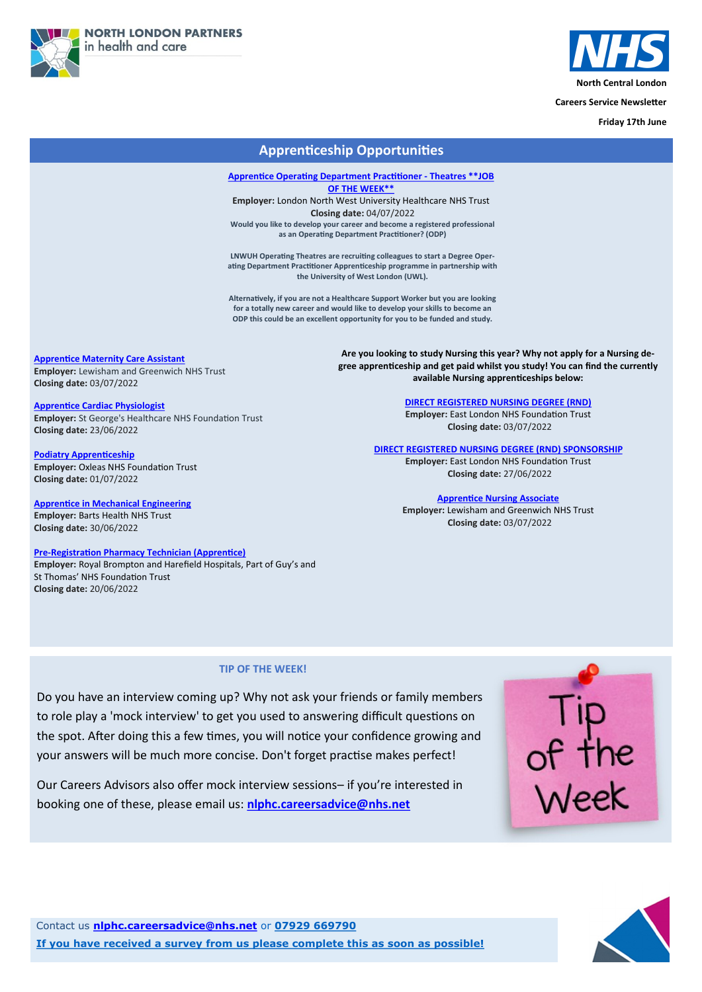



**Careers Service Newsletter**

**Friday 17th June**

Contact us **[nlphc.careersadvice@nhs.net](mailto:nlphc.careersadvice@nhs.net)** or **07929 669790**

**If you have received a survey from us please complete this as soon as possible!**



# **Apprenticeship Opportunities**

**[Apprentice Maternity Care Assistant](https://beta.jobs.nhs.uk/candidate/jobadvert/C9197-22-3859) Employer:** Lewisham and Greenwich NHS Trust

**Closing date:** 03/07/2022

#### **[Apprentice Cardiac Physiologist](https://beta.jobs.nhs.uk/candidate/jobadvert/C9200-22-8789)**

**Employer:** St George's Healthcare NHS Foundation Trust **Closing date:** 23/06/2022

#### **[Podiatry Apprenticeship](https://www.healthjobsuk.com/job/UK/London/Kidbrooke/Oxleas_NHS_Foundation_Trust/Podiatry/Podiatry-v4283266?_ts=320331)**

**Employer:** Oxleas NHS Foundation Trust **Closing date:** 01/07/2022

**[Apprentice in Mechanical Engineering](https://www.healthjobsuk.com/job/UK/London/London/Barts_Health_NHS_Trust/Engineering/Engineering-v4224903?_ts=324582) Employer:** Barts Health NHS Trust **Closing date:** 30/06/2022

#### **Pre-[Registration Pharmacy Technician \(Apprentice\)](https://www.jobs.nhs.uk/xi/vacancy/917259635)**

**Employer:** Royal Brompton and Harefield Hospitals, Part of Guy's and St Thomas' NHS Foundation Trust **Closing date:** 20/06/2022

#### **TIP OF THE WEEK!**

Do you have an interview coming up? Why not ask your friends or family members to role play a 'mock interview' to get you used to answering difficult questions on the spot. After doing this a few times, you will notice your confidence growing and



your answers will be much more concise. Don't forget practise makes perfect!

Our Careers Advisors also offer mock interview sessions– if you're interested in

booking one of these, please email us: **[nlphc.careersadvice@nhs.net](mailto:nlphc.careersadvice@nhs.net)**

**[Apprentice Operating Department Practitioner](https://www.healthjobsuk.com/job/UK/London/Harrow/London_North_West_University_Healthcare_NHS_Trust/Operating_Department_Practitioner_Apprenticeship/Operating_Department_Practitioner_Apprenticeship-v4291302?_ts=221748) - Theatres \*\*JOB [OF THE WEEK\\*\\*](https://www.healthjobsuk.com/job/UK/London/Harrow/London_North_West_University_Healthcare_NHS_Trust/Operating_Department_Practitioner_Apprenticeship/Operating_Department_Practitioner_Apprenticeship-v4291302?_ts=221748)**

**Employer:** London North West University Healthcare NHS Trust **Closing date:** 04/07/2022 **Would you like to develop your career and become a registered professional as an Operating Department Practitioner? (ODP)**

**LNWUH Operating Theatres are recruiting colleagues to start a Degree Operating Department Practitioner Apprenticeship programme in partnership with the University of West London (UWL).**

**Alternatively, if you are not a Healthcare Support Worker but you are looking for a totally new career and would like to develop your skills to become an ODP this could be an excellent opportunity for you to be funded and study.**

> **Are you looking to study Nursing this year? Why not apply for a Nursing degree apprenticeship and get paid whilst you study! You can find the currently available Nursing apprenticeships below:**

#### **[DIRECT REGISTERED NURSING DEGREE \(RND\)](https://www.healthjobsuk.com/job/UK/London/Community_Services/East_London_NHS_Foundation_Trust/Mental_Health/Mental_Health-v4293169?_ts=229836)**

**Employer:** East London NHS Foundation Trust **Closing date:** 03/07/2022

#### **[DIRECT REGISTERED NURSING DEGREE \(RND\) SPONSORSHIP](https://www.healthjobsuk.com/job/UK/London/Community_Services/East_London_NHS_Foundation_Trust/Community_Services/Community_Services-v4293614?_ts=236212)**

**Employer:** East London NHS Foundation Trust **Closing date:** 27/06/2022

#### **[Apprentice Nursing Associate](https://www.healthjobsuk.com/job/UK/London/London/Lewisham_Greenwich_NHS_Trust/Corporate_Nursing/Corporate_Nursing-v4294112?_ts=242083)**

**Employer:** Lewisham and Greenwich NHS Trust **Closing date:** 03/07/2022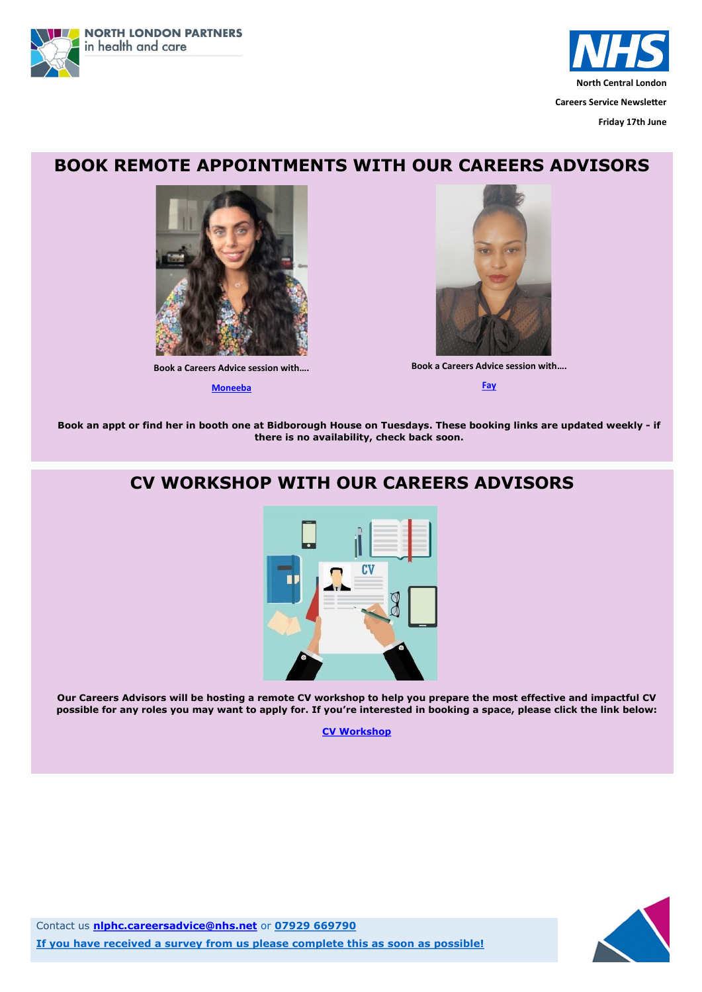



**Friday 17th June**

Contact us **[nlphc.careersadvice@nhs.net](mailto:nlphc.careersadvice@nhs.net)** or **07929 669790**

**If you have received a survey from us please complete this as soon as possible!**



# **BOOK REMOTE APPOINTMENTS WITH OUR CAREERS ADVISORS**



**Book a Careers Advice session with….**

**[Moneeba](https://calendly.com/nlphc-careersadvice/careers-advice-session-moneeba)**



**Book an appt or find her in booth one at Bidborough House on Tuesdays. These booking links are updated weekly - if there is no availability, check back soon.**

**Book a Careers Advice session with….**

**[Fay](https://calendly.com/nlphc-careersadvice/careers-advice-session-fay)**

# **CV WORKSHOP WITH OUR CAREERS ADVISORS**



**Our Careers Advisors will be hosting a remote CV workshop to help you prepare the most effective and impactful CV possible for any roles you may want to apply for. If you're interested in booking a space, please click the link below:** 

**[CV Workshop](https://calendly.com/nlphc-careersadvice/cv-workshop)**